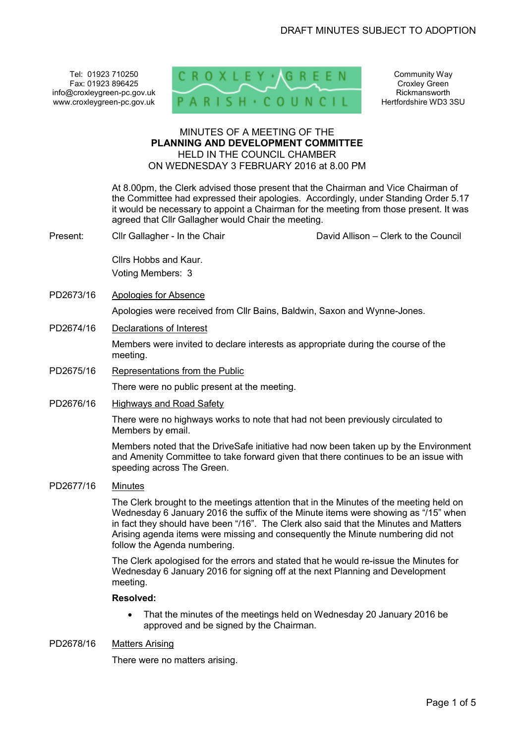Tel: 01923 710250 Fax: 01923 896425 info@croxleygreen-pc.gov.uk www.croxleygreen-pc.gov.uk



Community Way Croxley Green Rickmansworth Hertfordshire WD3 3SU

# MINUTES OF A MEETING OF THE **PLANNING AND DEVELOPMENT COMMITTEE** HELD IN THE COUNCIL CHAMBER ON WEDNESDAY 3 FEBRUARY 2016 at 8.00 PM

 At 8.00pm, the Clerk advised those present that the Chairman and Vice Chairman of the Committee had expressed their apologies. Accordingly, under Standing Order 5.17 it would be necessary to appoint a Chairman for the meeting from those present. It was agreed that Cllr Gallagher would Chair the meeting.

Present: Cllr Gallagher - In the Chair Chair David Allison – Clerk to the Council

Cllrs Hobbs and Kaur. Voting Members: 3

PD2673/16 Apologies for Absence

Apologies were received from Cllr Bains, Baldwin, Saxon and Wynne-Jones.

PD2674/16 Declarations of Interest

Members were invited to declare interests as appropriate during the course of the meeting.

PD2675/16 Representations from the Public

There were no public present at the meeting.

PD2676/16 Highways and Road Safety

There were no highways works to note that had not been previously circulated to Members by email.

Members noted that the DriveSafe initiative had now been taken up by the Environment and Amenity Committee to take forward given that there continues to be an issue with speeding across The Green.

PD2677/16 Minutes

The Clerk brought to the meetings attention that in the Minutes of the meeting held on Wednesday 6 January 2016 the suffix of the Minute items were showing as "/15" when in fact they should have been "/16". The Clerk also said that the Minutes and Matters Arising agenda items were missing and consequently the Minute numbering did not follow the Agenda numbering.

The Clerk apologised for the errors and stated that he would re-issue the Minutes for Wednesday 6 January 2016 for signing off at the next Planning and Development meeting.

### **Resolved:**

• That the minutes of the meetings held on Wednesday 20 January 2016 be approved and be signed by the Chairman.

### PD2678/16 Matters Arising

There were no matters arising.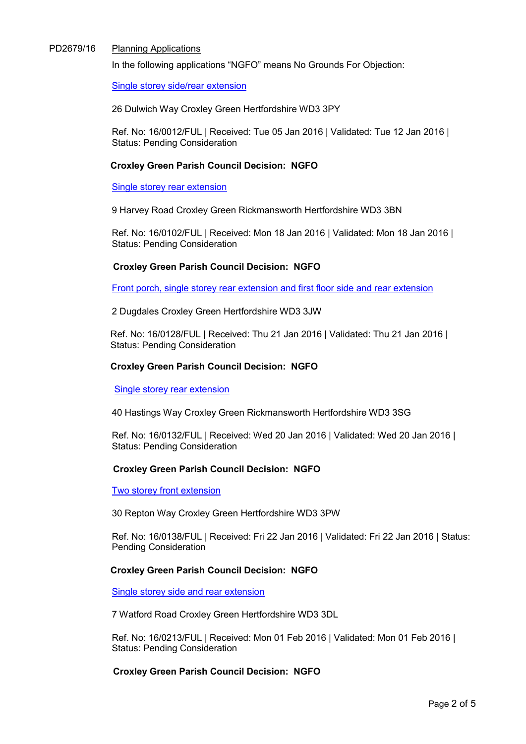### PD2679/16 Planning Applications

In the following applications "NGFO" means No Grounds For Objection:

Single storey side/rear extension

26 Dulwich Way Croxley Green Hertfordshire WD3 3PY

Ref. No: 16/0012/FUL | Received: Tue 05 Jan 2016 | Validated: Tue 12 Jan 2016 | Status: Pending Consideration

# **Croxley Green Parish Council Decision: NGFO**

Single storey rear extension

9 Harvey Road Croxley Green Rickmansworth Hertfordshire WD3 3BN

Ref. No: 16/0102/FUL | Received: Mon 18 Jan 2016 | Validated: Mon 18 Jan 2016 | Status: Pending Consideration

# **Croxley Green Parish Council Decision: NGFO**

Front porch, single storey rear extension and first floor side and rear extension

2 Dugdales Croxley Green Hertfordshire WD3 3JW

Ref. No: 16/0128/FUL | Received: Thu 21 Jan 2016 | Validated: Thu 21 Jan 2016 | Status: Pending Consideration

# **Croxley Green Parish Council Decision: NGFO**

Single storey rear extension

40 Hastings Way Croxley Green Rickmansworth Hertfordshire WD3 3SG

Ref. No: 16/0132/FUL | Received: Wed 20 Jan 2016 | Validated: Wed 20 Jan 2016 | Status: Pending Consideration

### **Croxley Green Parish Council Decision: NGFO**

Two storey front extension

30 Repton Way Croxley Green Hertfordshire WD3 3PW

Ref. No: 16/0138/FUL | Received: Fri 22 Jan 2016 | Validated: Fri 22 Jan 2016 | Status: Pending Consideration

### **Croxley Green Parish Council Decision: NGFO**

Single storey side and rear extension

7 Watford Road Croxley Green Hertfordshire WD3 3DL

Ref. No: 16/0213/FUL | Received: Mon 01 Feb 2016 | Validated: Mon 01 Feb 2016 | Status: Pending Consideration

**Croxley Green Parish Council Decision: NGFO**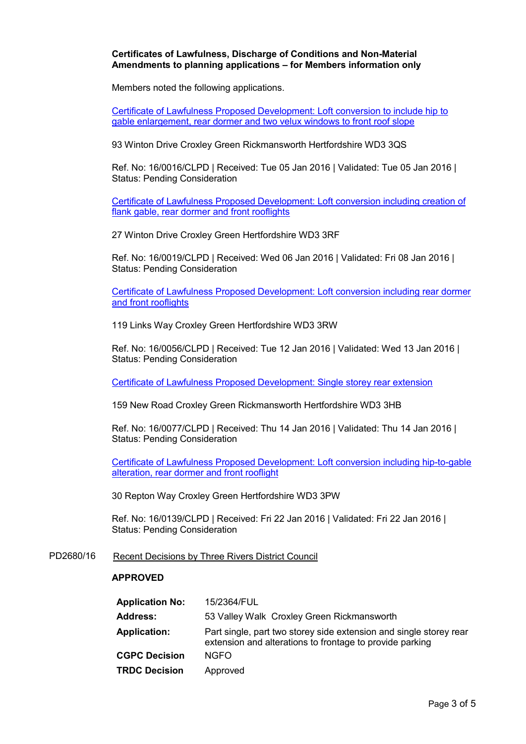### **Certificates of Lawfulness, Discharge of Conditions and Non-Material Amendments to planning applications – for Members information only**

Members noted the following applications.

Certificate of Lawfulness Proposed Development: Loft conversion to include hip to gable enlargement, rear dormer and two velux windows to front roof slope

93 Winton Drive Croxley Green Rickmansworth Hertfordshire WD3 3QS

Ref. No: 16/0016/CLPD | Received: Tue 05 Jan 2016 | Validated: Tue 05 Jan 2016 | Status: Pending Consideration

Certificate of Lawfulness Proposed Development: Loft conversion including creation of flank gable, rear dormer and front rooflights

27 Winton Drive Croxley Green Hertfordshire WD3 3RF

Ref. No: 16/0019/CLPD | Received: Wed 06 Jan 2016 | Validated: Fri 08 Jan 2016 | Status: Pending Consideration

Certificate of Lawfulness Proposed Development: Loft conversion including rear dormer and front rooflights

119 Links Way Croxley Green Hertfordshire WD3 3RW

Ref. No: 16/0056/CLPD | Received: Tue 12 Jan 2016 | Validated: Wed 13 Jan 2016 | Status: Pending Consideration

Certificate of Lawfulness Proposed Development: Single storey rear extension

159 New Road Croxley Green Rickmansworth Hertfordshire WD3 3HB

Ref. No: 16/0077/CLPD | Received: Thu 14 Jan 2016 | Validated: Thu 14 Jan 2016 | Status: Pending Consideration

Certificate of Lawfulness Proposed Development: Loft conversion including hip-to-gable alteration, rear dormer and front rooflight

30 Repton Way Croxley Green Hertfordshire WD3 3PW

Ref. No: 16/0139/CLPD | Received: Fri 22 Jan 2016 | Validated: Fri 22 Jan 2016 | Status: Pending Consideration

PD2680/16 Recent Decisions by Three Rivers District Council

#### **APPROVED**

| <b>Application No:</b> | 15/2364/FUL                                                                                                                    |
|------------------------|--------------------------------------------------------------------------------------------------------------------------------|
| <b>Address:</b>        | 53 Valley Walk Croxley Green Rickmansworth                                                                                     |
| <b>Application:</b>    | Part single, part two storey side extension and single storey rear<br>extension and alterations to frontage to provide parking |
| <b>CGPC Decision</b>   | <b>NGFO</b>                                                                                                                    |
| <b>TRDC Decision</b>   | Approved                                                                                                                       |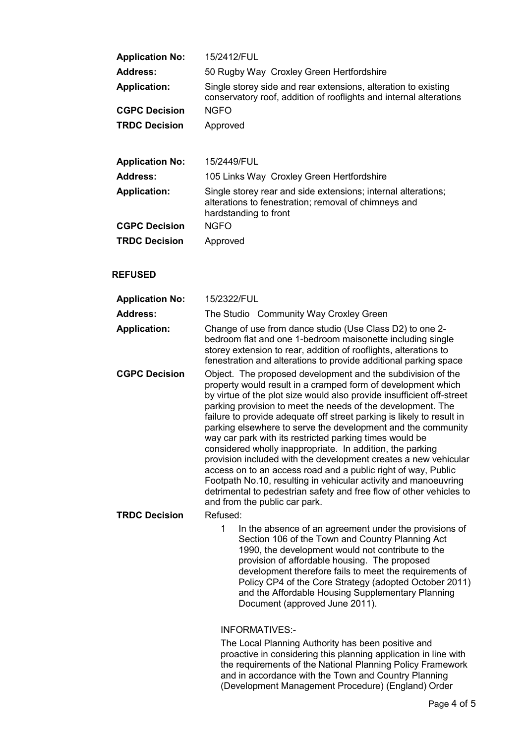| <b>Application No:</b> | 15/2412/FUL                                                                                                                                    |
|------------------------|------------------------------------------------------------------------------------------------------------------------------------------------|
| Address:               | 50 Rugby Way Croxley Green Hertfordshire                                                                                                       |
| <b>Application:</b>    | Single storey side and rear extensions, alteration to existing<br>conservatory roof, addition of rooflights and internal alterations           |
| <b>CGPC Decision</b>   | <b>NGFO</b>                                                                                                                                    |
| <b>TRDC Decision</b>   | Approved                                                                                                                                       |
|                        |                                                                                                                                                |
| <b>Application No:</b> | 15/2449/FUL                                                                                                                                    |
| Address:               | 105 Links Way Croxley Green Hertfordshire                                                                                                      |
| <b>Application:</b>    | Single storey rear and side extensions; internal alterations;<br>alterations to fenestration; removal of chimneys and<br>hardstanding to front |
| <b>CGPC Decision</b>   | <b>NGFO</b>                                                                                                                                    |
| <b>TRDC Decision</b>   | Approved                                                                                                                                       |

### **REFUSED**

| <b>Application No:</b> | 15/2322/FUL                                                                                                                                                                                                                                                                                                                                                                                                                                                                                                                                                                                                                                                                                                                                                                                                                                         |
|------------------------|-----------------------------------------------------------------------------------------------------------------------------------------------------------------------------------------------------------------------------------------------------------------------------------------------------------------------------------------------------------------------------------------------------------------------------------------------------------------------------------------------------------------------------------------------------------------------------------------------------------------------------------------------------------------------------------------------------------------------------------------------------------------------------------------------------------------------------------------------------|
| <b>Address:</b>        | The Studio Community Way Croxley Green                                                                                                                                                                                                                                                                                                                                                                                                                                                                                                                                                                                                                                                                                                                                                                                                              |
| <b>Application:</b>    | Change of use from dance studio (Use Class D2) to one 2-<br>bedroom flat and one 1-bedroom maisonette including single<br>storey extension to rear, addition of rooflights, alterations to<br>fenestration and alterations to provide additional parking space                                                                                                                                                                                                                                                                                                                                                                                                                                                                                                                                                                                      |
| <b>CGPC Decision</b>   | Object. The proposed development and the subdivision of the<br>property would result in a cramped form of development which<br>by virtue of the plot size would also provide insufficient off-street<br>parking provision to meet the needs of the development. The<br>failure to provide adequate off street parking is likely to result in<br>parking elsewhere to serve the development and the community<br>way car park with its restricted parking times would be<br>considered wholly inappropriate. In addition, the parking<br>provision included with the development creates a new vehicular<br>access on to an access road and a public right of way, Public<br>Footpath No.10, resulting in vehicular activity and manoeuvring<br>detrimental to pedestrian safety and free flow of other vehicles to<br>and from the public car park. |
| <b>TRDC Decision</b>   | Refused:                                                                                                                                                                                                                                                                                                                                                                                                                                                                                                                                                                                                                                                                                                                                                                                                                                            |
|                        | In the absence of an agreement under the provisions of<br>1<br>Section 106 of the Town and Country Planning Act<br>1990, the development would not contribute to the                                                                                                                                                                                                                                                                                                                                                                                                                                                                                                                                                                                                                                                                                |

provision of affordable housing. The proposed development therefore fails to meet the requirements of Policy CP4 of the Core Strategy (adopted October 2011) and the Affordable Housing Supplementary Planning Document (approved June 2011).

### INFORMATIVES:-

The Local Planning Authority has been positive and proactive in considering this planning application in line with the requirements of the National Planning Policy Framework and in accordance with the Town and Country Planning (Development Management Procedure) (England) Order